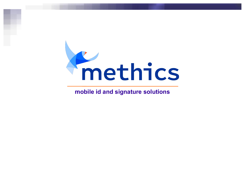

## **mobile id and signature solutions**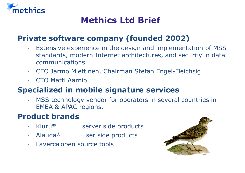

# **Methics Ltd Brief**

## **Private software company (founded 2002)**

- Extensive experience in the design and implementation of MSS standards, modern Internet architectures, and security in data communications.
- CEO Jarmo Miettinen, Chairman Stefan Engel-Fleichsig
- CTO Matti Aarnio

## **Specialized in mobile signature services**

 MSS technology vendor for operators in several countries in EMEA & APAC regions.

## **Product brands**

- Kiuru<sup>®</sup> server side products
- Alauda<sup>®</sup> user side products
- Laverca open source tools

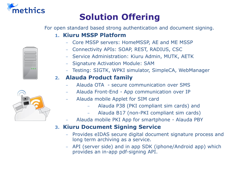

# **Solution Offering**

For open standard based strong authentication and document signing.

## **1. Kiuru MSSP Platform**

- Core MSSP servers: HomeMSSP, AE and ME MSSP
- ± Connectivity APIs: SOAP, REST, RADIUS, CSC
- Service Administration: Kiuru Admin, MUTK, AETK
- Signature Activation Module: SAM
- Testing: SIGTK, WPKI simulator, SimpleCA, WebManager

## **2. Alauda Product family**

- Alauda OTA secure communication over SMS
- ± Alauda Front-End App communication over IP
- Alauda mobile Applet for SIM card
	- Alauda P38 (PKI compliant sim cards) and
	- Alauda B17 (non-PKI compliant sim cards)
- ± Alauda mobile PKI App for smartphone Alauda PBY

## **3. Kiuru Document Signing Service**

- ± Provides eIDAS secure digital document signature process and long term archiving as a service.
- API (server side) and in app SDK (iphone/Android app) which provides an in-app pdf-signing API.



 $0.0<sub>0</sub>$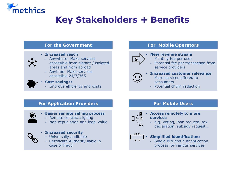

# **Key Stakeholders + Benefits**



- Remote contract signing
- Non-repudiation and legal value



### **Increased security**

- Universally auditable
- Certificate Authority liable in case of fraud



### **Access remotely to more services**

e.g. Voting, loan request, tax declaration, subsidy request...



### **Simplified identification:**

Single PIN and authentication process for various services



### **New revenue stream**

- Monthly fee per user
- Potential fee per transaction from service providers



### **Increased customer relevance**

- More services offered to consumers
	- Potential churn reduction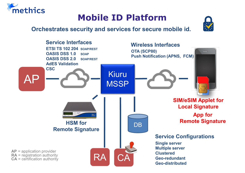

## **Orchestrates security and services for secure mobile id.**

methics



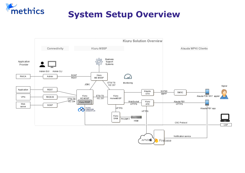

# **System Setup Overview**